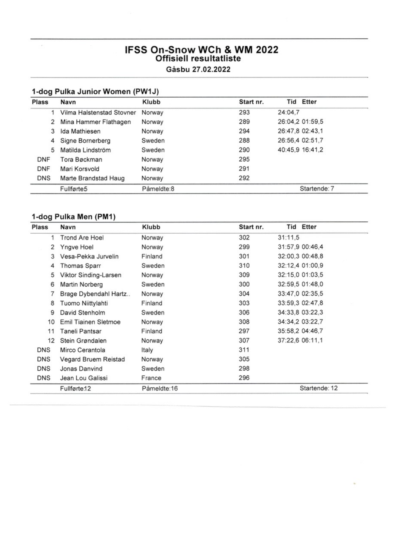# IFSS On-Snow WCh & WM 2022<br>Offisiell resultatliste

Gåsbu 27.02.2022

## 1-dog Pulka Junior Women (PW1J)

 $\sim$ 

| <b>Plass</b> | Navn                      | Klubb      | Start nr. |         | <b>Tid Etter</b> |
|--------------|---------------------------|------------|-----------|---------|------------------|
|              | Vilma Halstenstad Stovner | Norway     | 293       | 24:04.7 |                  |
| 2            | Mina Hammer Flathagen     | Norway     | 289       |         | 26:04.2 01:59.5  |
| 3            | Ida Mathiesen             | Norway     | 294       |         | 26:47,8 02:43,1  |
| 4            | Signe Bornerberg          | Sweden     | 288       |         | 26:56,4 02:51,7  |
| 5            | Matilda Lindström         | Sweden     | 290       |         | 40:45,9 16:41,2  |
| <b>DNF</b>   | Tora Bøckman              | Norway     | 295       |         |                  |
| <b>DNF</b>   | Mari Korsvold             | Norway     | 291       |         |                  |
| <b>DNS</b>   | Marte Brandstad Haug      | Norway     | 292       |         |                  |
|              | Fullførte5                | Påmeldte:8 |           |         | Startende: 7     |

### 1-dog Pulka Men (PM1)

| <b>Plass</b> | Navn                  | Klubb   | Start nr. |         | Tid Etter       |
|--------------|-----------------------|---------|-----------|---------|-----------------|
|              | <b>Trond Are Hoel</b> | Norway  | 302       | 31:11,5 |                 |
| 2            | Yngve Hoel            | Norway  | 299       |         | 31:57,9 00:46,4 |
| 3            | Vesa-Pekka Jurvelin   | Finland | 301       |         | 32:00,3 00:48,8 |
| 4            | Thomas Sparr          | Sweden  | 310       |         | 32:12,4 01:00,9 |
| 5            | Viktor Sinding-Larsen | Norway  | 309       |         | 32:15,0 01:03,5 |
| 6            | Martin Norberg        | Sweden  | 300       |         | 32:59,5 01:48,0 |
|              | Brage Dybendahl Hartz | Norway  | 304       |         | 33:47,0 02:35,5 |
| 8            | Tuomo Niittylahti     | Finland | 303       |         | 33:59,3 02:47,8 |
| 9            | David Stenholm        | Sweden  | 306       |         | 34:33,8 03:22,3 |
| 10           | Emil Tiainen Sletmoe  | Norway  | 308       |         | 34:34,2 03:22,7 |
| 11           | Taneli Pantsar        | Finland | 297       |         | 35:58,2 04:46,7 |
| 12           | Stein Grøndalen       | Norway  | 307       |         | 37:22,6 06:11,1 |
| DNS          | Mirco Cerantola       | Italy   | 311       |         |                 |
| DNS          | Vegard Bruem Reistad  | Norway  | 305       |         |                 |
| DNS          | Jonas Danvind         | Sweden  | 298       |         |                 |
| DNS          | Jean Lou Galissi      | France  | 296       |         |                 |

 $\sim$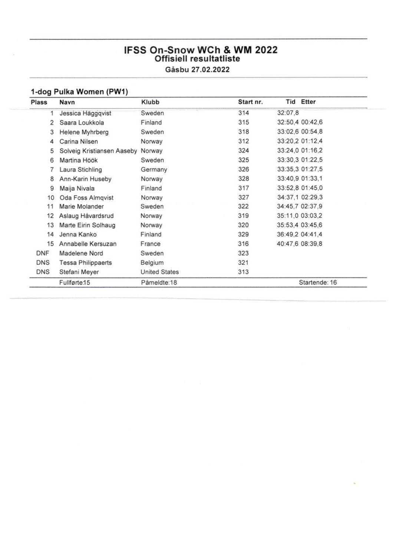# IFSS On-Snow WCh & WM 2022<br>Offisiell resultatliste

Gåsbu 27.02.2022

| <b>Plass</b> | Navn                              | Klubb                | Start nr. |         | <b>Tid Etter</b> |
|--------------|-----------------------------------|----------------------|-----------|---------|------------------|
|              | Jessica Häggqvist                 | Sweden               | 314       | 32:07,8 |                  |
| 2            | Saara Loukkola                    | Finland              | 315       |         | 32:50,4 00:42,6  |
| 3            | Helene Myhrberg                   | Sweden               | 318       |         | 33:02,6 00:54,8  |
| 4            | Carina Nilsen                     | Norway               | 312       |         | 33:20,2 01:12,4  |
| 5            | Solveig Kristiansen Aaseby Norway |                      | 324       |         | 33:24,0 01:16,2  |
| 6            | Martina Höök                      | Sweden               | 325       |         | 33:30,3 01:22,5  |
| 7            | Laura Stichling                   | Germany              | 326       |         | 33:35,3 01:27,5  |
| 8            | Ann-Karin Huseby                  | Norway               | 328       |         | 33:40,9 01:33,1  |
| 9            | Maija Nivala                      | Finland              | 317       |         | 33:52,8 01:45,0  |
| 10           | Oda Foss Almqvist                 | Norway               | 327       |         | 34:37,1 02:29,3  |
| 11           | Marie Molander                    | Sweden               | 322       |         | 34:45,7 02:37,9  |
| 12           | Aslaug Håvardsrud                 | Norway               | 319       |         | 35:11,0 03:03,2  |
| 13           | Marte Eirin Solhaug               | Norway               | 320       |         | 35:53,4 03:45,6  |
| 14           | Jenna Kanko                       | Finland              | 329       |         | 36:49,2 04:41,4  |
| 15           | Annabelle Kersuzan                | France               | 316       |         | 40:47,6 08:39,8  |
| DNF          | Madelene Nord                     | Sweden               | 323       |         |                  |
| DNS          | <b>Tessa Philippaerts</b>         | Belgium              | 321       |         |                  |
| DNS          | Stefani Meyer                     | <b>United States</b> | 313       |         |                  |
|              | Fullførte:15                      | Påmeldte:18          |           |         | Startende: 16    |

**State Street**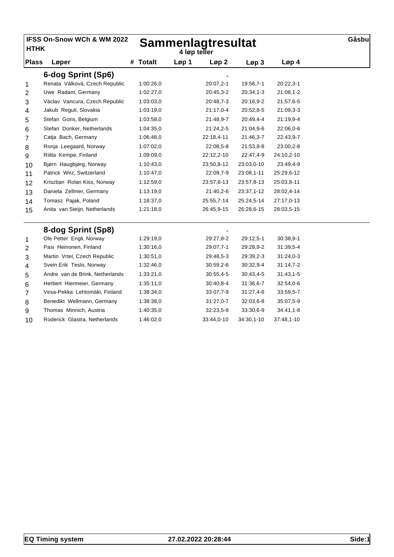| <b>HTHK</b>  | IFSS On-Snow WCh & WM 2022      |                    | <b>Sammenlagtresultat</b><br>4 løp teller |                  |             |                  |  |  |  |
|--------------|---------------------------------|--------------------|-------------------------------------------|------------------|-------------|------------------|--|--|--|
| <b>Plass</b> | Løper                           | <b>Totalt</b><br># | Løp 1                                     | Løp <sub>2</sub> | Løp3        | Løp <sub>4</sub> |  |  |  |
|              | 6-dog Sprint (Sp6)              |                    |                                           |                  |             |                  |  |  |  |
| 1            | Renata Válková, Czech Republic  | 1:00:26,0          |                                           | 20:07,2-1        | 19:56,7-1   | $20:22,3-1$      |  |  |  |
| 2            | Uwe Radant, Germany             | 1:02:27,0          |                                           | 20:45,3-2        | $20:34,1-3$ | 21:08,1-2        |  |  |  |
| 3            | Václav Vancura, Czech Republic  | 1:03:03,0          |                                           | 20:48,7-3        | 20:16,9-2   | 21:57,6-5        |  |  |  |
| 4            | Jakub Reguli, Slovakia          | 1:03:19,0          |                                           | 21:17,0-4        | 20:52,8-5   | 21:09,3-3        |  |  |  |
| 5            | Stefan Goris, Belgium           | 1:03:58,0          |                                           | 21:48,9-7        | 20:49,4-4   | 21:19,9-4        |  |  |  |
| 6            | Stefan Donker, Netherlands      | 1:04:35,0          |                                           | 21:24,2-5        | 21:04,9-6   | 22:06,0-6        |  |  |  |
| 7            | Catja Bach, Germany             | 1:06:48,0          |                                           | 22:18,4-11       | 21:46,3-7   | 22:43,9-7        |  |  |  |
| 8            | Ronja Leegaard, Norway          | 1:07:02,0          |                                           | 22:08,5-8        | $21:53,8-8$ | 23:00,2-8        |  |  |  |
| 9            | Riitta Kempe, Finland           | 1:09:09,0          |                                           | 22:12,2-10       | 22:47,4-9   | 24:10,2-10       |  |  |  |
| 10           | Bjørn Haugbjørg, Norway         | 1:10:43,0          |                                           | 23:50,8-12       | 23:03,0-10  | 23:49,4-9        |  |  |  |
| 11           | Patrick Wirz, Switzerland       | 1:10:47,0          |                                           | 22:09,7-9        | 23:08,1-11  | 25:29,6-12       |  |  |  |
| 12           | Krisztian Rolan Kiss, Norway    | 1:12:59,0          |                                           | 23:57,6-13       | 23:57,8-13  | 25:03,8-11       |  |  |  |
| 13           | Daniela Zellmer, Germany        | 1:13:19,0          |                                           | 21:40,2-6        | 23:37,1-12  | 28:02,4-14       |  |  |  |
| 14           | Tomasz Pajak, Poland            | 1:18:37,0          |                                           | 25:55,7-14       | 25:24,5-14  | 27:17,0-13       |  |  |  |
| 15           | Anita van Steijn, Netherlands   | 1:21:18,0          |                                           | 26:45,9-15       | 26:28,6-15  | 28:03,5-15       |  |  |  |
|              | 8-dog Sprint (Sp8)              |                    |                                           |                  |             |                  |  |  |  |
| 1            | Ole Petter Engli, Norway        | 1:29:19,0          |                                           | 29:27,8-2        | 29:12,5-1   | $30:38,9-1$      |  |  |  |
| 2            | Pasi Heinonen, Finland          | 1:30:16,0          |                                           | 29:07,7-1        | 29:28,9-2   | 31:39,5-4        |  |  |  |
| 3            | Martin Vrtel, Czech Republic    | 1:30:51,0          |                                           | 29:48,5-3        | 29:39,2-3   | 31:24,0-3        |  |  |  |
| 4            | Svein Erik Teslo, Norway        | 1:32:46,0          |                                           | $30:59,2-6$      | 30:32,9-4   | $31:14,7-2$      |  |  |  |
| 5            | Andre van de Brink, Netherlands | 1:33:21,0          |                                           | $30:55,4-5$      | $30:43,4-5$ | $31:43,1-5$      |  |  |  |
| 6            | Herbert Hiermeier, Germany      | 1:35:11.0          |                                           | 30:40.8-4        | 31:36.6-7   | 32:54,0-6        |  |  |  |
| 7            | Vesa-Pekka Lehtomäki, Finland   | 1:38:34,0          |                                           | 33:07,7-9        | $31:27,4-6$ | 33:59,5-7        |  |  |  |
| 8            | Benedikt Wellmann, Germany      | 1:38:38,0          |                                           | $31:27,0-7$      | 32:03,6-8   | 35:07,5-9        |  |  |  |
| 9            | Thomas Minnich, Austria         | 1:40:35,0          |                                           | $32:23,5-8$      | 33:30,6-9   | $34:41,1-8$      |  |  |  |
| 10           | Roderick Glastra, Netherlands   | 1:46:02,0          |                                           | 33:44,0-10       | 34:30,1-10  | 37:48,1-10       |  |  |  |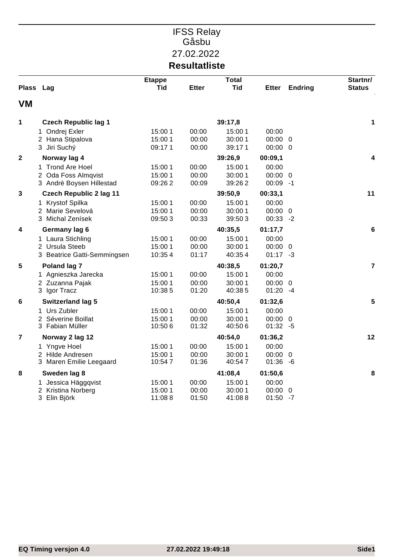### IFSS Relay Gåsbu 27.02.2022 **Resultatliste**

| Plass Lag               |                                | <b>Etappe</b><br><b>Tid</b> | <b>Etter</b> | <b>Total</b><br><b>Tid</b> | <b>Etter</b> | <b>Endring</b> | Startnr/<br><b>Status</b> |
|-------------------------|--------------------------------|-----------------------------|--------------|----------------------------|--------------|----------------|---------------------------|
| <b>VM</b>               |                                |                             |              |                            |              |                |                           |
| 1                       | <b>Czech Republic lag 1</b>    |                             |              | 39:17,8                    |              |                | 1                         |
|                         | 1 Ondrej Exler                 | 15:00 1                     | 00:00        | 15:00 1                    | 00:00        |                |                           |
|                         | 2 Hana Stipalova               | 15:00 1                     | 00:00        | 30:00 1                    | $00:00 \ 0$  |                |                           |
|                         | 3 Jiri Suchý                   | 09:171                      | 00:00        | 39:171                     | $00:00 \ 0$  |                |                           |
| $\overline{\mathbf{2}}$ | Norway lag 4                   |                             |              | 39:26,9                    | 00:09,1      |                | 4                         |
|                         | 1 Trond Are Hoel               | 15:00 1                     | 00:00        | 15:00 1                    | 00:00        |                |                           |
|                         | 2 Oda Foss Almqvist            | 15:00 1                     | 00:00        | 30:00 1                    | $00:00 \ 0$  |                |                           |
|                         | 3 Andrè Boysen Hillestad       | 09:262                      | 00:09        | 39:262                     | $00:09 - 1$  |                |                           |
| 3                       | <b>Czech Republic 2 lag 11</b> |                             |              | 39:50,9                    | 00:33,1      |                | 11                        |
|                         | 1 Krystof Spilka               | 15:00 1                     | 00:00        | 15:00 1                    | 00:00        |                |                           |
|                         | 2 Marie Sevelová               | 15:00 1                     | 00:00        | 30:00 1                    | $00:00 \ 0$  |                |                           |
|                         | 3 Michal Zenísek               | 09:503                      | 00:33        | 39:503                     | $00:33 - 2$  |                |                           |
| 4                       | Germany lag 6                  |                             |              | 40:35,5                    | 01:17,7      |                | $\bf 6$                   |
|                         | 1 Laura Stichling              | 15:00 1                     | 00:00        | 15:00 1                    | 00:00        |                |                           |
|                         | 2 Ursula Steeb                 | 15:00 1                     | 00:00        | 30:00 1                    | $00:00 \ 0$  |                |                           |
|                         | 3 Beatrice Gatti-Semmingsen    | 10:354                      | 01:17        | 40:354                     | $01:17 - 3$  |                |                           |
| 5                       | Poland lag 7                   |                             |              | 40:38,5                    | 01:20,7      |                | $\overline{7}$            |
|                         | 1 Agnieszka Jarecka            | 15:00 1                     | 00:00        | 15:00 1                    | 00:00        |                |                           |
|                         | 2 Zuzanna Pajak                | 15:00 1                     | 00:00        | 30:00 1                    | $00:00 \ 0$  |                |                           |
|                         | 3 Igor Tracz                   | 10:385                      | 01:20        | 40:38 5                    | $01:20 -4$   |                |                           |
| 6                       | <b>Switzerland lag 5</b>       |                             |              | 40:50,4                    | 01:32,6      |                | $5\phantom{.0}$           |
|                         | 1 Urs Zubler                   | 15:00 1                     | 00:00        | 15:00 1                    | 00:00        |                |                           |
|                         | 2 Séverine Boillat             | 15:00 1                     | 00:00        | 30:00 1                    | $00:00 \ 0$  |                |                           |
|                         | 3 Fabian Müller                | 10:506                      | 01:32        | 40:506                     | $01:32 - 5$  |                |                           |
| 7                       | Norway 2 lag 12                |                             |              | 40:54,0                    | 01:36,2      |                | 12                        |
|                         | 1 Yngve Hoel                   | 15:00 1                     | 00:00        | 15:00 1                    | 00:00        |                |                           |
|                         | 2 Hilde Andresen               | 15:00 1                     | 00:00        | 30:00 1                    | $00:00 \ 0$  |                |                           |
|                         | 3 Maren Emilie Leegaard        | 10:547                      | 01:36        | 40:547                     | $01:36 - 6$  |                |                           |
| 8                       | Sweden lag 8                   |                             |              | 41:08,4                    | 01:50,6      |                | 8                         |
|                         | 1 Jessica Häggqvist            | 15:00 1                     | 00:00        | 15:00 1                    | 00:00        |                |                           |
|                         | 2 Kristina Norberg             | 15:00 1                     | 00:00        | 30:00 1                    | $00:00 \ 0$  |                |                           |
|                         | 3 Elin Björk                   | 11:088                      | 01:50        | 41:088                     | 01:50        | -7             |                           |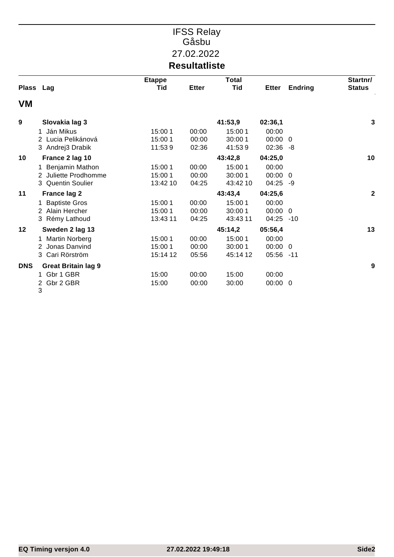### IFSS Relay Gåsbu 27.02.2022 **Resultatliste**

|              |                            | <b>Etappe</b> |              | <b>Total</b> |                 |                | Startnr/         |
|--------------|----------------------------|---------------|--------------|--------------|-----------------|----------------|------------------|
| <b>Plass</b> | Lag                        | Tid           | <b>Etter</b> | <b>Tid</b>   | <b>Etter</b>    | <b>Endring</b> | <b>Status</b>    |
| VM           |                            |               |              |              |                 |                |                  |
| 9            | Slovakia lag 3             |               |              | 41:53,9      | 02:36,1         |                | 3                |
|              | Ján Mikus<br>1             | 15:00 1       | 00:00        | 15:00 1      | 00:00           |                |                  |
|              | Lucia Pelikánová<br>2      | 15:00 1       | 00:00        | 30:00 1      | 00:00 0         |                |                  |
|              | 3 Andrej3 Drabik           | 11:539        | 02:36        | 41:539       | $02:36 - 8$     |                |                  |
| 10           | France 2 lag 10            |               |              | 43:42,8      | 04:25,0         |                | 10               |
|              | Benjamin Mathon<br>1       | 15:00 1       | 00:00        | 15:00 1      | 00:00           |                |                  |
|              | Juliette Prodhomme<br>2    | 15:00 1       | 00:00        | 30:00 1      | $00:00 \quad 0$ |                |                  |
|              | 3 Quentin Soulier          | 13:42 10      | 04:25        | 43:42 10     | 04:25 -9        |                |                  |
| 11           | <b>France lag 2</b>        |               |              | 43:43,4      | 04:25,6         |                | $\boldsymbol{2}$ |
|              | <b>Baptiste Gros</b><br>1  | 15:00 1       | 00:00        | 15:00 1      | 00:00           |                |                  |
|              | 2 Alain Hercher            | 15:00 1       | 00:00        | 30:00 1      | $00:00 \quad 0$ |                |                  |
|              | 3 Rémy Lathoud             | 13:43 11      | 04:25        | 43:43 11     | 04:25           | -10            |                  |
| 12           | Sweden 2 lag 13            |               |              | 45:14,2      | 05:56,4         |                | 13               |
|              | <b>Martin Norberg</b>      | 15:00 1       | 00:00        | 15:00 1      | 00:00           |                |                  |
|              | Jonas Danvind              | 15:00 1       | 00:00        | 30:00 1      | $00:00 \ 0$     |                |                  |
|              | 3 Cari Rörström            | 15:14 12      | 05:56        | 45:14 12     | 05:56 -11       |                |                  |
| <b>DNS</b>   | <b>Great Britain lag 9</b> |               |              |              |                 |                | 9                |
|              | Gbr 1 GBR<br>1             | 15:00         | 00:00        | 15:00        | 00:00           |                |                  |
|              | Gbr 2 GBR<br>2             | 15:00         | 00:00        | 30:00        | 00:00 0         |                |                  |
|              | 3                          |               |              |              |                 |                |                  |